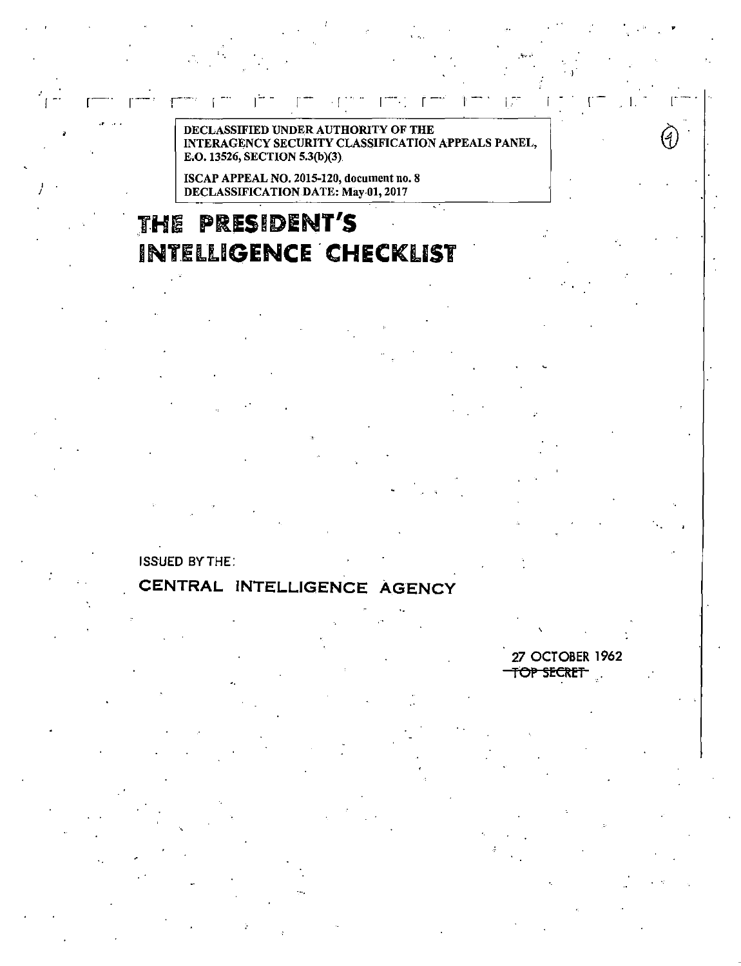سي ا

DECLASSIFIED UNDER AUTHORITY OF THE INTERAGENCY SECURITY CLASSIFICATION APPEALS PANEL, E.O. 13526, SECTION 5.3(b)(3).

ISCAP APPEAL NO. 2015-120, document no. 8 DECLASSIFICATION DATE: May 01, 2017

# THE PRESIDENT'S **INTELLIGENCE CHECKLIST**

**ISSUED BY THE:** 

## CENTRAL INTELLIGENCE AGENCY

27 OCTOBER 1962 TOP SECRET

 $\left( 4\right)$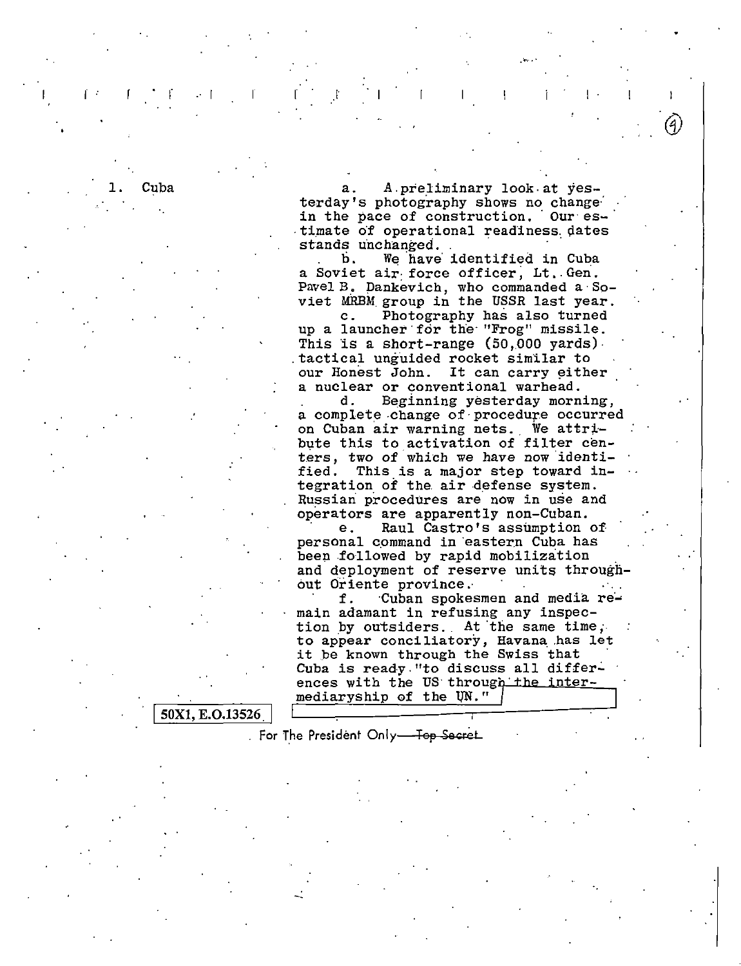Cuba a. A.preliminary look at yesterday's photography shows no change<br>in the pace of construction. Our estimate of operational readiness dates stands unchanged.

.  $\cdots$ 

b. We have identified in Cuba a Soviet air force officer, Lt. Gen. Pavel B. Dankevich, who commanded a Soviet MRBM group in the USSR last year.<br>c. Photography has also turned Photography has also turned

up a launcher·for the· "Frog" missile. This is a short-range  $(50,000 \text{ yards})$ . . tactical unguided rocket simllar to our Honest John. It can carry either a nuclear or conventional warhead.

d. Beginning yesterday morning, a complete change of procedure occurred on Cuban air warning nets. We attribute this to activation of filter centers, two of which we have now identified. This is a major step toward integration of the air defense system. Russian procedures are now in use and

operators are apparently non-Cuban.<br>
e. Raul Castro's assumption of personal command in eastern Cuba has<br>been followed by rapid mobilization and deployment of reserve units throughout Oriente province.·

f. Cuban spokesmen and media remain adamant in refusing any inspection by outsiders. At the same time, to appear conciliatory, Havana .has let it be known through the Swiss that Cuba is ready. "to discuss all differences with the US through the intermediaryship of the UN."

50X1, E.O.13526

For The President Only-Top Secret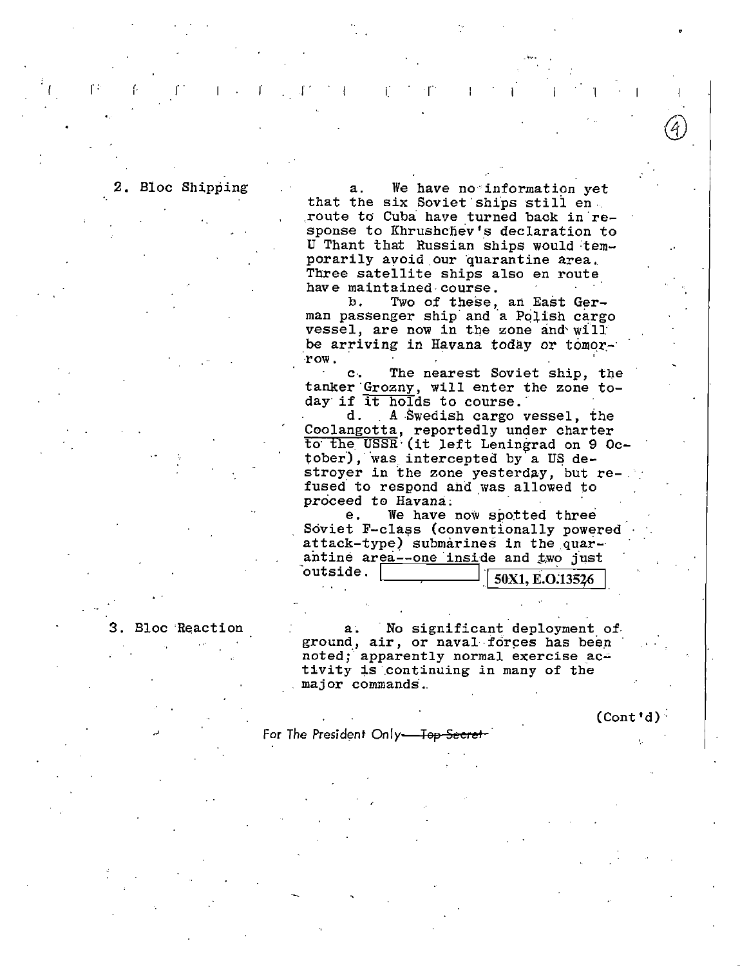## 2. Bloc Shipping

r:

r r r r r r r r r r r r r r

a. We have no information yet<br>that the six Soviet ships still en. route to Cuba have turned back in response to Khrushchev's declaration to U Thant that Russian ships would temporarily avoid our quarantine area.<br>Three satellite ships also en route have maintained course.<br>b. Two of these.

Two of these, an East German passenger ship and a Polish cargo vessel, are now in the zone and' will be arriving in Havana today or tomor-·row.

C·, The nearest Soviet ship, the tanker Grozny, will enter the zone today if  $\frac{d_{\text{max}}}{dt}$  is to course.<br>d. A Swedish cargo vessel, the

d. A Swedish cargo vessel, the<br>Coolangotta, reportedly under charter to the USSR (it left Leningrad on 9 October), was intercepted by a US destroyer in the zone yesterday, but re-<br>fused to respond and was allowed to proceed to Havana.<br>e. We have

We have now spotted three Soviet F-class (conventionally powered attack-type) submarines in the quar-· antine area--one inside and two just<br>outside,

50X1, E.O.13526

. .

Bloc Reaction a. No significant deployment of ground, air, or naval forces has been noted; apparently normal exercise activity is continuing in many of the major commands.

For The President Only<del>-Top Secret</del>

 $(Cont 'd)$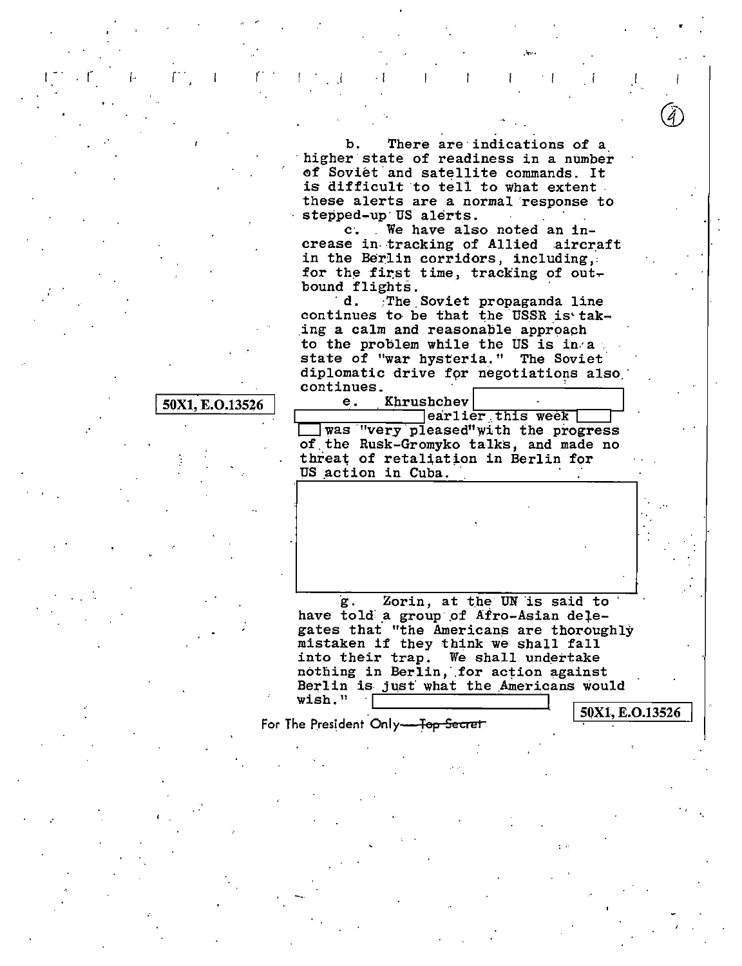There are indications of a b. higher state of readiness in a number of Soviét and satellite commands. It is difficult to tell to what extent. these alerts are a normal response to stepped-up US alerts.

c. We have also noted an increase in tracking of Allied aircraft in the Berlin corridors, including, for the first time, tracking of outbound flights.

d. The Soviet propaganda line continues to be that the USSR is taking a calm and reasonable approach to the problem while the US is in a state of "war hysteria." The Soviet diplomatic drive for negotiations also continues.

## 50X1, E.O.13526

earlier this week  $\Box$  was "very pleased" with the progress of the Rusk-Gromyko talks, and made no threat of retaliation in Berlin for US action in Cuba.

Khrushchev

e.

Zorin, at the UN is said to g. have told a group of Afro-Asian delegates that "the Americans are thoroughly mistaken if they think we shall fall into their trap. We shall undertake nothing in Berlin, for action against Berlin is just what the Americans would wish."

For The President Only-<del>Top Secret</del>

50X1, E.O.13526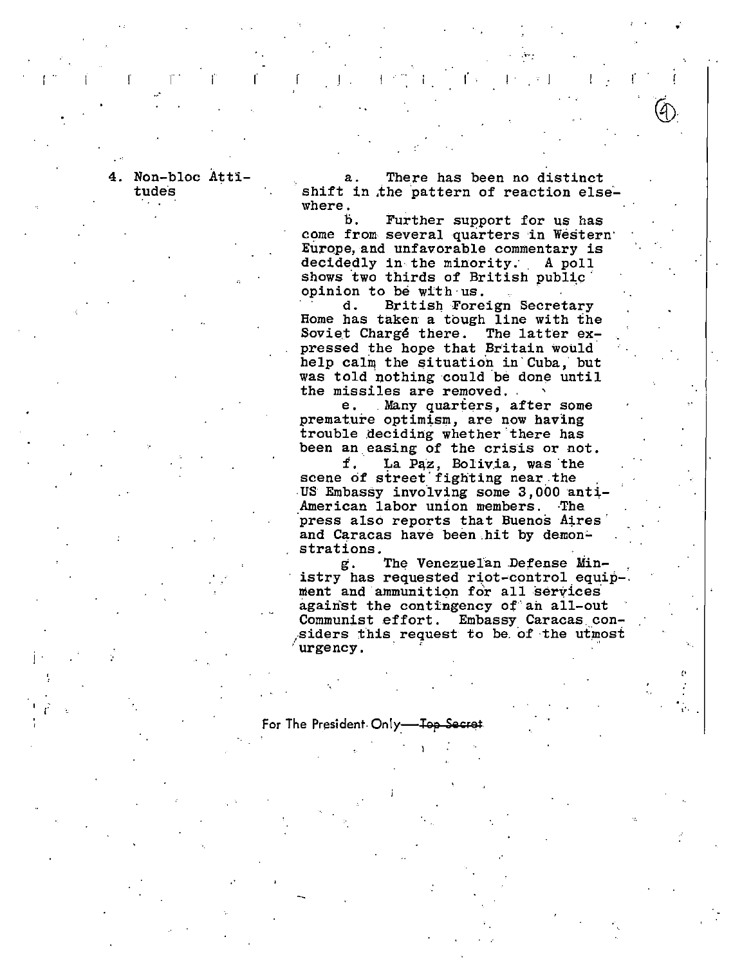4. Non-bloc Atti tudes

There has been no distinct shift in the pattern of reaction elsewhere.

b. Further support for us has come from several quarters in Western Europe, and unfavorable commentary is decidedly in the minority. A poll shows two thirds of British public opinion to be with us.

British Foreign Secretary d. Home has taken a tough line with the Soviet Chargé there. The latter expressed the hope that Britain would help calm the situation in Cuba, but was told nothing could be done until the missiles are removed.

е. Many quarters, after some premature optimism, are now having trouble deciding whether there has been an easing of the crisis or not.

La Paz, Bolivia, was the f. scene of street fighting near the US Embassy involving some 3,000 anti American labor union members. The press also reports that Buenos Aires and Caracas have been hit by demonstrations.

The Venezuelan Defense Ming. istry has requested riot-control equip-. ment and ammunition for all services against the contingency of an all-out Communist effort. Embassy Caracas considers this request to be of the utmost urgency.

For The President Only-مملہ۔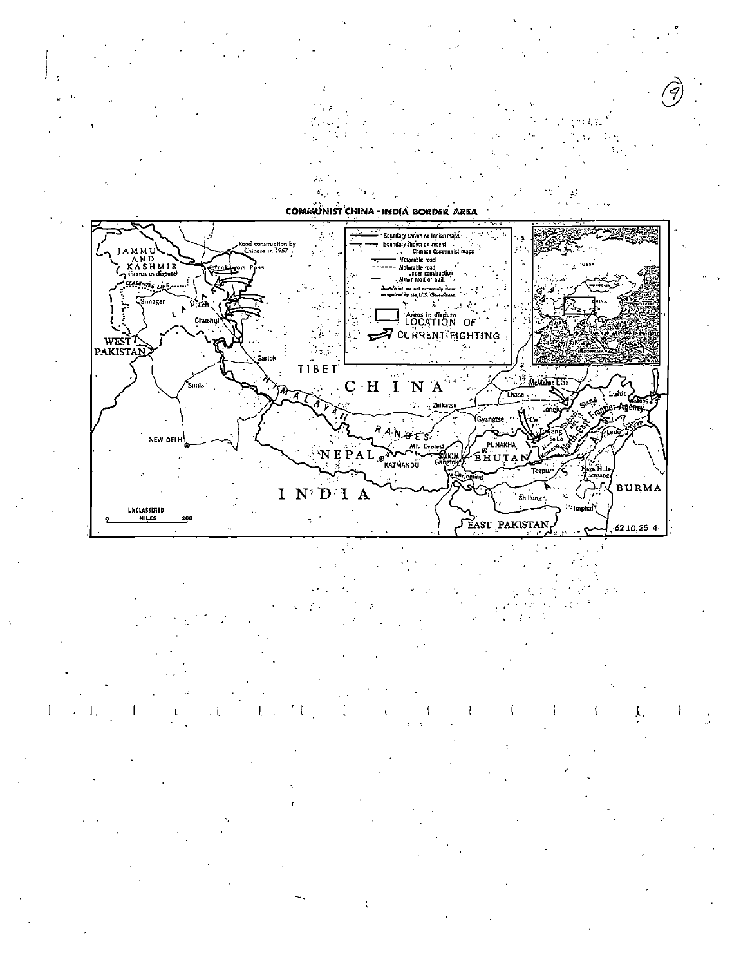

 $\mathbf{K}^{\mathbf{L}}$  .

COMMUNIST CHINA - INDIA BORDER AREA



A.

 $\mathfrak f$  $\mathbf{I}$ -6 1 1.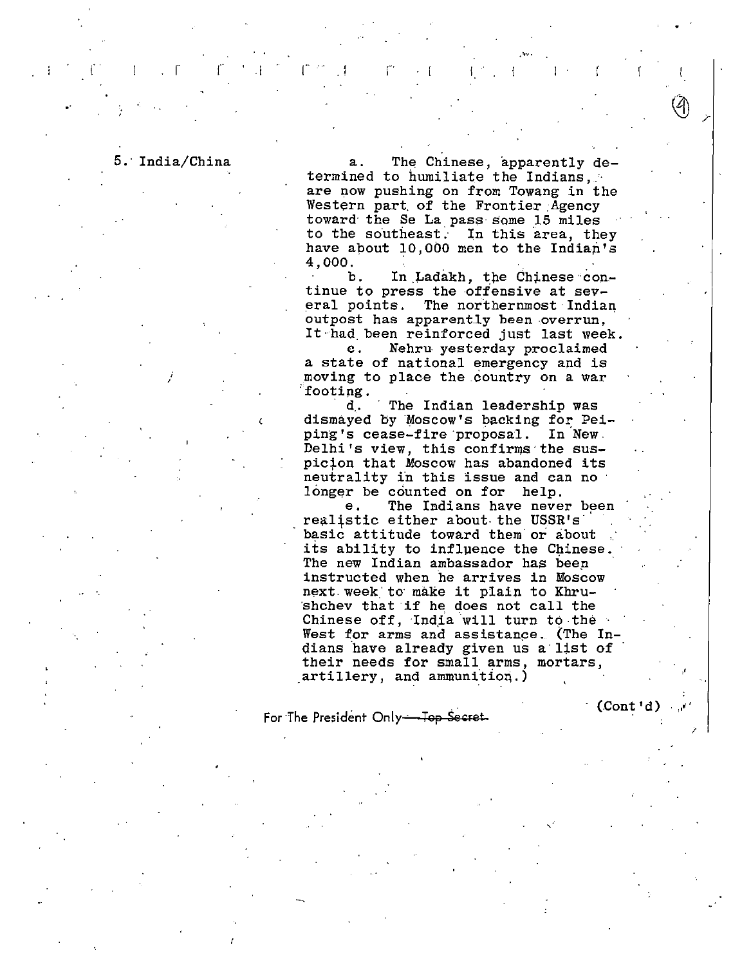5. India/China

The Chinese, apparently de $a<sub>1</sub>$ termined to humiliate the Indians, are now pushing on from Towang in the Western part of the Frontier Agency toward the Se La pass some 15 miles to the southeast. In this area, they have about 10,000 men to the Indian's 4,000.

In Ladakh, the Chinese conb. tinue to press the offensive at several points. The northernmost Indian outpost has apparently been overrun, It had been reinforced just last week.

Nehru yesterday proclaimed  $\mathbf{c}$ . a state of national emergency and is moving to place the country on a war footing.

d. The Indian leadership was dismayed by Moscow's backing for Peiping's cease-fire proposal. In New. Delhi's view, this confirms the suspicion that Moscow has abandoned its neutrality in this issue and can no longer be counted on for help.

The Indians have never been  $e<sub>r</sub>$ realistic either about the USSR's basic attitude toward them or about its ability to influence the Chinese. The new Indian ambassador has been instructed when he arrives in Moscow next week to make it plain to Khrushchev that if he does not call the Chinese off, India will turn to the West for arms and assistance. (The Indians have already given us a list of their needs for small arms, mortars, artillery, and ammunition.)

For The President Only-Top Secret

 $(Cont d)$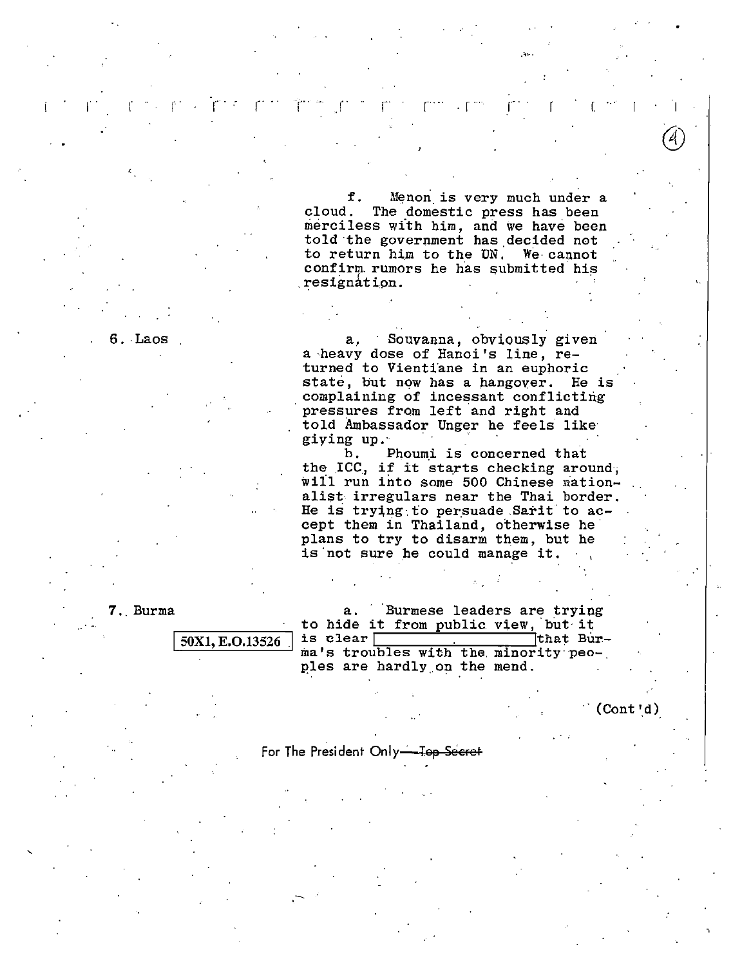f. Menon is very much under a<br>cloud. The domestic press has been The domestic press has been merciless with him, and we have been told the government has decided not to return him to the UN: We· cannot confirm rumors he has submitted his .resignation.

*r* .. ·r... <sup>I</sup>1· I r r r · . r I

6. Laos a, Souvanna, obviously given a ·heavy dose of Hanoi's line, returned to Vientiane in an euphoric state, but now has a hangover. He is complaining of incessant conflicting pressures from left and right and told Ambassador Unger he feels like giying up.

> b. Phoumi is concerned that the ICC., if it starts checking around; will run into some 500 Chinese nationalist irregulars near the Thai border. He is trying to persuade Sarit to accept them in Thailand, otherwise he plans to try to disarm them, but he is not sure he could manage it.

7. Burma a. · Burmese leaders are trying to hide it from public view, but it<br>is clear |  $\frac{1}{\text{that Burl}}$  $\frac{50X1, E.O.13526}{E.O.13526}$  is clear  $\frac{10X1, E.O.13526}{E.O.13526}$  ma's troubles with the minority peoples are hardly on the mend.

 $(Cont 'd)$ 

For The President Only-Top Secret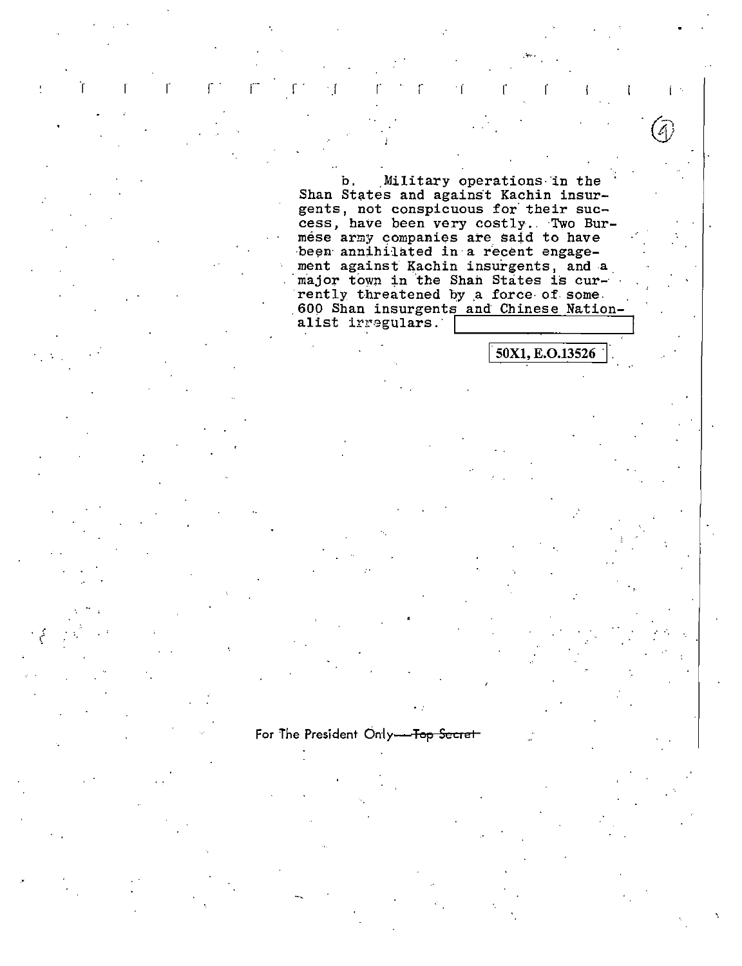Military operations in the b. Shan States and against Kachin insurgents, not conspicuous for their success, have been very costly. Two Burmese army companies are said to have been annihilated in a recent engagement against Kachin insurgents, and a major town in the Shan States is currently threatened by a force of some. 600 Shan insurgents and Chinese Nationalist irregulars.

50X1, E.O.13526

For The President Only-Top Secret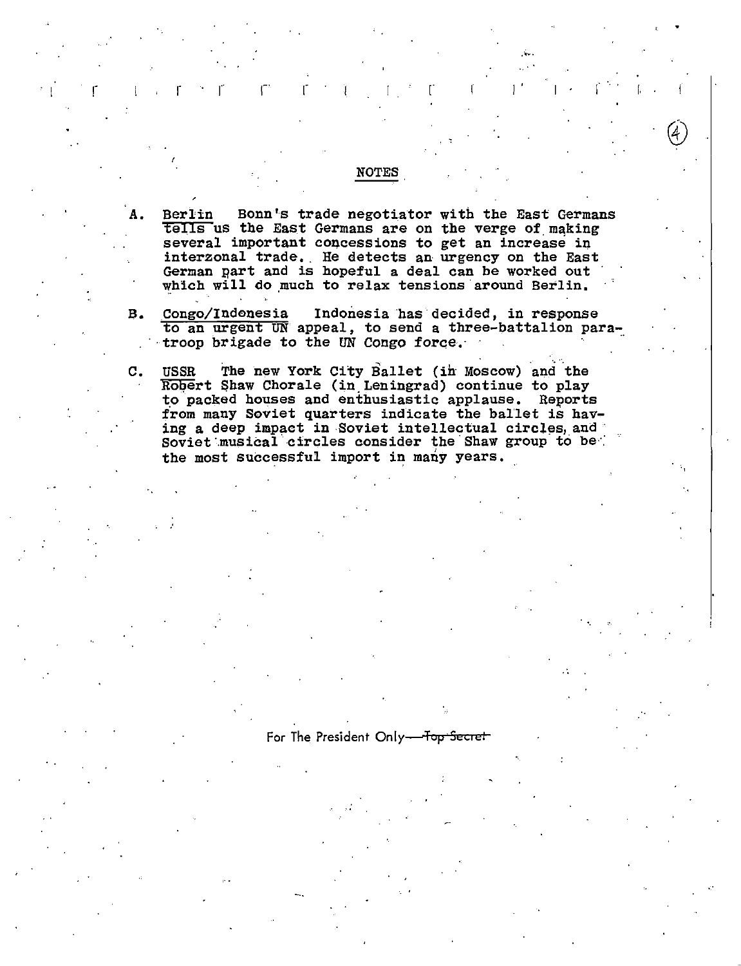Berlin Bonn's trade negotiator with the East Germans  $t$ ells us the East Germans are on the verge of making several important concessions to get an increase in interzonal trade. He detects an urgency on the East German Eart and is hopeful a deal can be worked out which will do much to relax tensions around Berlin.

NOTES

 $\bigcirc$ 

 $\mathbf{r}$  ,  $\mathbf{r}$  is  $\mathbf{r}$  in  $\mathbf{r}$  ,  $\mathbf{r}$  is  $\mathbf{r}$  ,  $\mathbf{r}$  ,  $\mathbf{r}$  ,  $\mathbf{r}$  ,  $\mathbf{r}$  ,  $\mathbf{r}$  ,  $\mathbf{r}$  ,  $\mathbf{r}$  ,  $\mathbf{r}$  ,  $\mathbf{r}$  ,  $\mathbf{r}$  ,  $\mathbf{r}$ 

- B. Congo/Indonesia Indonesia has·decided, in response to an urgent UN appeal, to send a three-battalion para~. ··troop brigade to the UN Congo foroe.· ·
- C. USSR The new York City Ballet (in Moscow) and the USSR The new York City Ballet (in Moscow) and the Robert Shaw Chorale (in Leningrad) continue to play to packed houses and enthusiastic applause. Reports from many Soviet quarters indicate the ballet is having a deep impact in Soviet intellectual circles, and Soviet musical circles consider the Shaw group to be the most successful import in many years.

## For The President Only---Top Secret